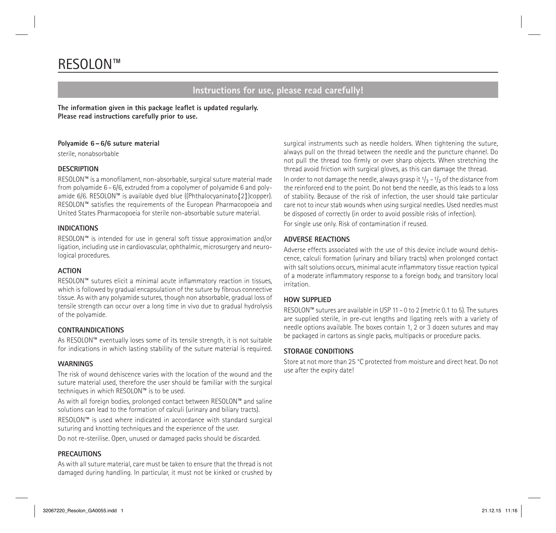# RESOLON™

# **Instructions for use, please read carefully!**

**The information given in this package leaflet is updated regularly. Please read instructions carefully prior to use.**

# **Polyamide 6–6/6 suture material**

sterile, nonabsorbable

#### **DESCRIPTION**

RESOLON™ is a monofilament, non-absorbable, surgical suture material made from polyamide 6 – 6/6, extruded from a copolymer of polyamide 6 and polyamide 6/6. RESOLON™ is available dyed blue ((Phthalocyaninato{2})copper). RESOLON™ satisfies the requirements of the European Pharmacopoeia and United States Pharmacopoeia for sterile non-absorbable suture material.

#### **INDICATIONS**

RESOLON™ is intended for use in general soft tissue approximation and/or ligation, including use in cardiovascular, ophthalmic, microsurgery and neurological procedures.

# **ACTION**

RESOLON™ sutures elicit a minimal acute inflammatory reaction in tissues, which is followed by gradual encapsulation of the suture by fibrous connective tissue. As with any polyamide sutures, though non absorbable, gradual loss of tensile strength can occur over a long time in vivo due to gradual hydrolysis of the polyamide.

# **CONTRAINDICATIONS**

As RESOLON™ eventually loses some of its tensile strength, it is not suitable for indications in which lasting stability of the suture material is required.

#### **WARNINGS**

The risk of wound dehiscence varies with the location of the wound and the suture material used, therefore the user should be familiar with the surgical techniques in which RESOLON™ is to be used.

As with all foreign bodies, prolonged contact between RESOLON™ and saline solutions can lead to the formation of calculi (urinary and biliary tracts).

RESOLON™ is used where indicated in accordance with standard surgical suturing and knotting techniques and the experience of the user.

Do not re-sterilise. Open, unused or damaged packs should be discarded.

#### **PRECAUTIONS**

As with all suture material, care must be taken to ensure that the thread is not damaged during handling. In particular, it must not be kinked or crushed by surgical instruments such as needle holders. When tightening the suture, always pull on the thread between the needle and the puncture channel. Do not pull the thread too firmly or over sharp objects. When stretching the thread avoid friction with surgical gloves, as this can damage the thread.

In order to not damage the needle, always grasp it  $1/3 - 1/2$  of the distance from the reinforced end to the point. Do not bend the needle, as this leads to a loss of stability. Because of the risk of infection, the user should take particular care not to incur stab wounds when using surgical needles. Used needles must be disposed of correctly (in order to avoid possible risks of infection).

For single use only. Risk of contamination if reused.

# **ADVERSE REACTIONS**

Adverse effects associated with the use of this device include wound dehiscence, calculi formation (urinary and biliary tracts) when prolonged contact with salt solutions occurs, minimal acute inflammatory tissue reaction typical of a moderate inflammatory response to a foreign body, and transitory local irritation.

# **HOW SUPPLIED**

RESOLON™ sutures are available in USP 11 – 0 to 2 (metric 0.1 to 5). The sutures are supplied sterile, in pre-cut lengths and ligating reels with a variety of needle options available. The boxes contain 1, 2 or 3 dozen sutures and may be packaged in cartons as single packs, multipacks or procedure packs.

# **STORAGE CONDITIONS**

Store at not more than 25 °C protected from moisture and direct heat. Do not use after the expiry date!